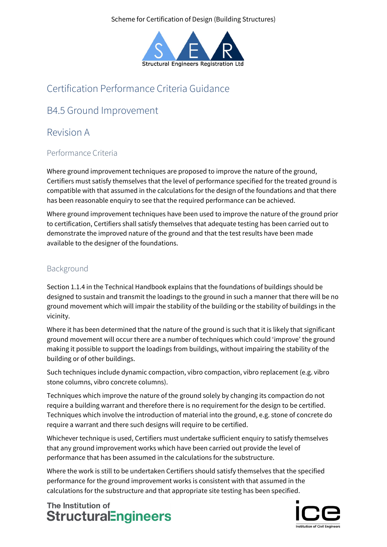Scheme for Certification of Design (Building Structures)



# Certification Performance Criteria Guidance

## B4.5 Ground Improvement

### Revision A

### Performance Criteria

Where ground improvement techniques are proposed to improve the nature of the ground, Certifiers must satisfy themselves that the level of performance specified for the treated ground is compatible with that assumed in the calculations for the design of the foundations and that there has been reasonable enquiry to see that the required performance can be achieved.

Where ground improvement techniques have been used to improve the nature of the ground prior to certification, Certifiers shall satisfy themselves that adequate testing has been carried out to demonstrate the improved nature of the ground and that the test results have been made available to the designer of the foundations.

#### Background

Section 1.1.4 in the Technical Handbook explains that the foundations of buildings should be designed to sustain and transmit the loadings to the ground in such a manner that there will be no ground movement which will impair the stability of the building or the stability of buildings in the vicinity.

Where it has been determined that the nature of the ground is such that it is likely that significant ground movement will occur there are a number of techniques which could 'improve' the ground making it possible to support the loadings from buildings, without impairing the stability of the building or of other buildings.

Such techniques include dynamic compaction, vibro compaction, vibro replacement (e.g. vibro stone columns, vibro concrete columns).

Techniques which improve the nature of the ground solely by changing its compaction do not require a building warrant and therefore there is no requirement for the design to be certified. Techniques which involve the introduction of material into the ground, e.g. stone of concrete do require a warrant and there such designs will require to be certified.

Whichever technique is used, Certifiers must undertake sufficient enquiry to satisfy themselves that any ground improvement works which have been carried out provide the level of performance that has been assumed in the calculations for the substructure.

Where the work is still to be undertaken Certifiers should satisfy themselves that the specified performance for the ground improvement works is consistent with that assumed in the calculations for the substructure and that appropriate site testing has been specified.

The Institution of **StructuralEngineers** 

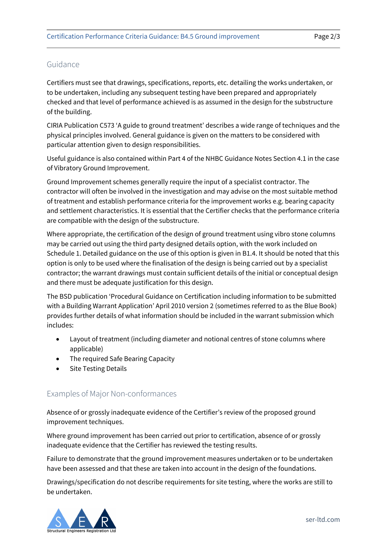#### Guidance

Certifiers must see that drawings, specifications, reports, etc. detailing the works undertaken, or to be undertaken, including any subsequent testing have been prepared and appropriately checked and that level of performance achieved is as assumed in the design for the substructure of the building.

CIRIA Publication C573 'A guide to ground treatment' describes a wide range of techniques and the physical principles involved. General guidance is given on the matters to be considered with particular attention given to design responsibilities.

Useful guidance is also contained within Part 4 of the NHBC Guidance Notes Section 4.1 in the case of Vibratory Ground Improvement.

Ground Improvement schemes generally require the input of a specialist contractor. The contractor will often be involved in the investigation and may advise on the most suitable method of treatment and establish performance criteria for the improvement works e.g. bearing capacity and settlement characteristics. It is essential that the Certifier checks that the performance criteria are compatible with the design of the substructure.

Where appropriate, the certification of the design of ground treatment using vibro stone columns may be carried out using the third party designed details option, with the work included on Schedule 1. Detailed guidance on the use of this option is given in B1.4. It should be noted that this option is only to be used where the finalisation of the design is being carried out by a specialist contractor; the warrant drawings must contain sufficient details of the initial or conceptual design and there must be adequate justification for this design.

The BSD publication 'Procedural Guidance on Certification including information to be submitted with a Building Warrant Application' April 2010 version 2 (sometimes referred to as the Blue Book) provides further details of what information should be included in the warrant submission which includes:

- Layout of treatment (including diameter and notional centres of stone columns where applicable)
- The required Safe Bearing Capacity
- **Site Testing Details**

#### Examples of Major Non-conformances

Absence of or grossly inadequate evidence of the Certifier's review of the proposed ground improvement techniques.

Where ground improvement has been carried out prior to certification, absence of or grossly inadequate evidence that the Certifier has reviewed the testing results.

Failure to demonstrate that the ground improvement measures undertaken or to be undertaken have been assessed and that these are taken into account in the design of the foundations.

Drawings/specification do not describe requirements for site testing, where the works are still to be undertaken.